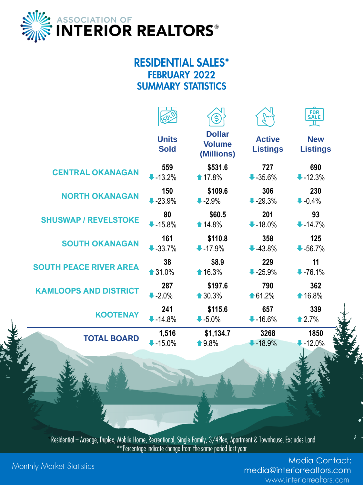

## **RESIDENTIAL SALES\* FEBRUARY 2022 SUMMARY STATISTICS**

|                               |                             |                                              |                                  | FOR<br>SALE<br>工              |
|-------------------------------|-----------------------------|----------------------------------------------|----------------------------------|-------------------------------|
|                               | <b>Units</b><br><b>Sold</b> | <b>Dollar</b><br><b>Volume</b><br>(Millions) | <b>Active</b><br><b>Listings</b> | <b>New</b><br><b>Listings</b> |
| <b>CENTRAL OKANAGAN</b>       | 559                         | \$531.6                                      | 727                              | 690                           |
|                               | $-13.2%$                    | ↑ 17.8%                                      | $-35.6%$                         | $-12.3%$                      |
| <b>NORTH OKANAGAN</b>         | 150                         | \$109.6                                      | 306                              | 230                           |
|                               | $-23.9%$                    | $-2.9%$                                      | $-29.3%$                         | $-0.4%$                       |
| <b>SHUSWAP / REVELSTOKE</b>   | 80                          | \$60.5                                       | 201                              | 93                            |
|                               | $-15.8%$                    | ↑ 14.8%                                      | $-18.0\%$                        | $-14.7%$                      |
| <b>SOUTH OKANAGAN</b>         | 161                         | \$110.8                                      | 358                              | 125                           |
|                               | $-33.7%$                    | $-17.9%$                                     | $-43.8%$                         | $-56.7%$                      |
| <b>SOUTH PEACE RIVER AREA</b> | 38                          | \$8.9                                        | 229                              | 11                            |
|                               | ↑31.0%                      | ↑16.3%                                       | $-25.9%$                         | $-76.1%$                      |
| <b>KAMLOOPS AND DISTRICT</b>  | 287                         | \$197.6                                      | 790                              | 362                           |
|                               | $-2.0%$                     | ↑30.3%                                       | ↑61.2%                           | ↑16.8%                        |
| <b>KOOTENAY</b>               | 241                         | \$115.6                                      | 657                              | 339                           |
|                               | $-14.8%$                    | $-5.0\%$                                     | $-16.6%$                         | $\triangle 2.7%$              |
| <b>TOTAL BOARD</b>            | 1,516                       | \$1,134.7                                    | 3268                             | 1850                          |
|                               | $-15.0%$                    | ↑9.8%                                        | $-18.9%$                         | $-12.0%$                      |

Residential = Acreage, Duplex, Mobile Home, Recreational, Single Family,  $3/4$ Plex, Apartment & Townhouse. Excludes Land<br>\*\*Percentage indicate change from the same period last year

Monthly Market Statistics

Media Contact: [media@interiorrealtors.com](mailto:media@omreb.com)<br>www.interiorrealtors.com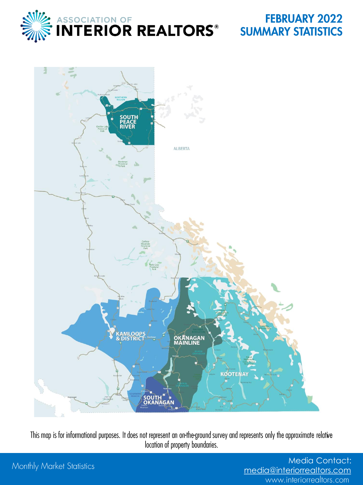

## **FEBRUARY 2022 SUMMARY STATISTICS**



This map is for informational purposes. It does not represent an on-the-ground survey and represents only the approximate relative location of property boundaries.

## Monthly Market Statistics

Media Contact: [media@interiorrealtors.com](mailto:media@omreb.com)www.interiorrealtors.com